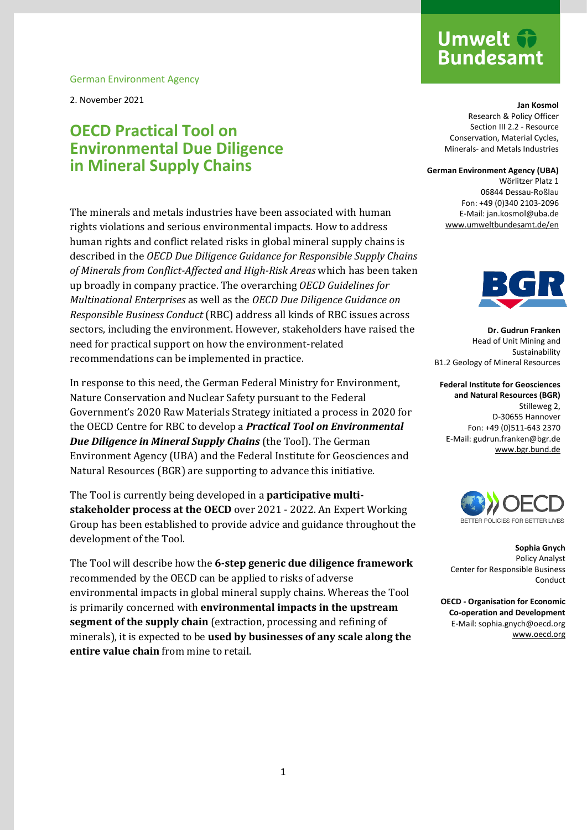German Environment Agency

2. November 2021

# **OECD Practical Tool on Environmental Due Diligence in Mineral Supply Chains**

The minerals and metals industries have been associated with human rights violations and serious environmental impacts. How to address human rights and conflict related risks in global mineral supply chains is described in the *OECD Due Diligence Guidance for Responsible Supply Chains of Minerals from Conflict-Affected and High-Risk Areas* which has been taken up broadly in company practice. The overarching *OECD Guidelines for Multinational Enterprises* as well as the *OECD Due Diligence Guidance on Responsible Business Conduct* (RBC) address all kinds of RBC issues across sectors, including the environment. However, stakeholders have raised the need for practical support on how the environment-related recommendations can be implemented in practice.

In response to this need, the German Federal Ministry for Environment, Nature Conservation and Nuclear Safety pursuant to the Federal Government's 2020 Raw Materials Strategy initiated a process in 2020 for the OECD Centre for RBC to develop a *Practical Tool on Environmental Due Diligence in Mineral Supply Chains* (the Tool). The German Environment Agency (UBA) and the Federal Institute for Geosciences and Natural Resources (BGR) are supporting to advance this initiative.

The Tool is currently being developed in a **participative multistakeholder process at the OECD** over 2021 - 2022. An Expert Working Group has been established to provide advice and guidance throughout the development of the Tool.

The Tool will describe how the **6-step generic due diligence framework** recommended by the OECD can be applied to risks of adverse environmental impacts in global mineral supply chains. Whereas the Tool is primarily concerned with **environmental impacts in the upstream segment of the supply chain** (extraction, processing and refining of minerals), it is expected to be **used by businesses of any scale along the entire value chain** from mine to retail.

# **Umwelt Bundesamt**

**Jan Kosmol** Research & Policy Officer Section III 2.2 - Resource Conservation, Material Cycles, Minerals- and Metals Industries

#### **German Environment Agency (UBA)**

Wörlitzer Platz 1 06844 Dessau-Roßlau Fon: +49 (0)340 2103-2096 E-Mail: jan.kosmol@uba.de [www.umweltbundesamt.de/en](http://www.umweltbundesamt.de/en)



**Dr. Gudrun Franken** Head of Unit Mining and Sustainability B1.2 Geology of Mineral Resources

**Federal Institute for Geosciences and Natural Resources (BGR)** Stilleweg 2, D-30655 Hannover Fon: +49 (0)511-643 2370 E-Mail: gudrun.franken@bgr.de [www.bgr.bund.de](http://www.bgr.bund.de/)



**Sophia Gnych** Policy Analyst Center for Responsible Business Conduct

**OECD - Organisation for Economic Co-operation and Development** E-Mail: sophia.gnych@oecd.org [www.oecd.org](http://www.oecd.org/)